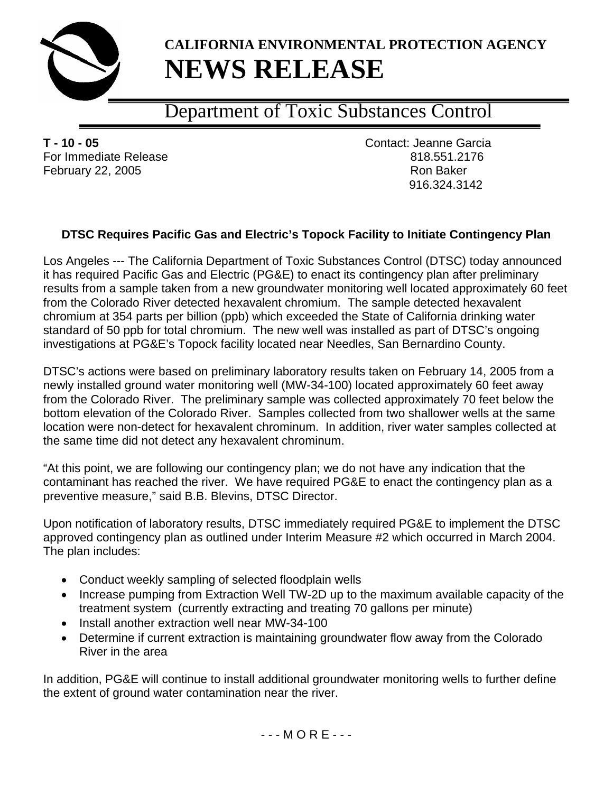

## **CALIFORNIA ENVIRONMENTAL PROTECTION AGENCY NEWS RELEASE**

## Department of Toxic Substances Control

**T - 10 - 05** Contact: Jeanne Garcia For Immediate Release 818.551.2176 February 22, 2005 **Ron Baker** Ron Baker

916.324.3142

## **DTSC Requires Pacific Gas and Electric's Topock Facility to Initiate Contingency Plan**

Los Angeles --- The California Department of Toxic Substances Control (DTSC) today announced it has required Pacific Gas and Electric (PG&E) to enact its contingency plan after preliminary results from a sample taken from a new groundwater monitoring well located approximately 60 feet from the Colorado River detected hexavalent chromium. The sample detected hexavalent chromium at 354 parts per billion (ppb) which exceeded the State of California drinking water standard of 50 ppb for total chromium. The new well was installed as part of DTSC's ongoing investigations at PG&E's Topock facility located near Needles, San Bernardino County.

DTSC's actions were based on preliminary laboratory results taken on February 14, 2005 from a newly installed ground water monitoring well (MW-34-100) located approximately 60 feet away from the Colorado River. The preliminary sample was collected approximately 70 feet below the bottom elevation of the Colorado River. Samples collected from two shallower wells at the same location were non-detect for hexavalent chrominum. In addition, river water samples collected at the same time did not detect any hexavalent chrominum.

"At this point, we are following our contingency plan; we do not have any indication that the contaminant has reached the river. We have required PG&E to enact the contingency plan as a preventive measure," said B.B. Blevins, DTSC Director.

Upon notification of laboratory results, DTSC immediately required PG&E to implement the DTSC approved contingency plan as outlined under Interim Measure #2 which occurred in March 2004. The plan includes:

- Conduct weekly sampling of selected floodplain wells
- Increase pumping from Extraction Well TW-2D up to the maximum available capacity of the treatment system (currently extracting and treating 70 gallons per minute)
- Install another extraction well near MW-34-100
- Determine if current extraction is maintaining groundwater flow away from the Colorado River in the area

In addition, PG&E will continue to install additional groundwater monitoring wells to further define the extent of ground water contamination near the river.